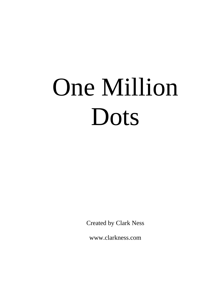## One Million Dots

Created by Clark Ness

www.clarkness.com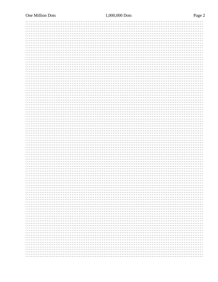| $\cdots$ |  |
|----------|--|
|          |  |
|          |  |
|          |  |
|          |  |
|          |  |
|          |  |
|          |  |
|          |  |
|          |  |
|          |  |
|          |  |
|          |  |
|          |  |
|          |  |
|          |  |
|          |  |
|          |  |
|          |  |
|          |  |
|          |  |
|          |  |
|          |  |
|          |  |
|          |  |
|          |  |
|          |  |
|          |  |
|          |  |
|          |  |
|          |  |
|          |  |
|          |  |
|          |  |
|          |  |
|          |  |
|          |  |
|          |  |
|          |  |
|          |  |
|          |  |
|          |  |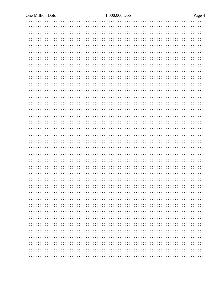. . . . .  $\frac{1}{1}$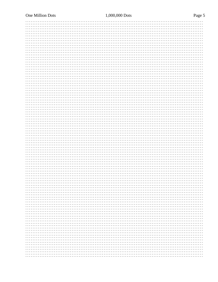| $\cdots$ |  |
|----------|--|
| .        |  |
|          |  |
|          |  |
|          |  |
|          |  |
|          |  |
|          |  |
|          |  |
|          |  |
|          |  |
|          |  |
|          |  |
|          |  |
|          |  |
|          |  |
|          |  |
|          |  |
|          |  |
|          |  |
|          |  |
|          |  |
|          |  |
|          |  |
|          |  |
|          |  |
|          |  |
|          |  |
|          |  |
|          |  |
|          |  |
|          |  |
|          |  |
|          |  |
|          |  |
|          |  |
|          |  |
|          |  |
|          |  |
|          |  |
|          |  |
|          |  |
|          |  |
|          |  |
|          |  |
|          |  |
|          |  |
|          |  |
|          |  |
|          |  |
|          |  |
|          |  |
|          |  |
|          |  |
|          |  |
|          |  |
|          |  |
|          |  |
|          |  |
|          |  |
|          |  |
| $\cdots$ |  |
|          |  |
|          |  |
|          |  |
|          |  |
|          |  |
|          |  |
|          |  |
|          |  |
|          |  |
|          |  |
|          |  |
|          |  |
|          |  |
|          |  |
|          |  |
|          |  |
|          |  |
|          |  |
|          |  |
|          |  |
|          |  |
|          |  |
|          |  |
|          |  |
|          |  |
|          |  |
|          |  |
|          |  |
|          |  |
|          |  |
|          |  |
|          |  |
|          |  |
|          |  |
|          |  |
|          |  |
|          |  |
|          |  |
|          |  |
|          |  |
|          |  |
|          |  |
|          |  |
|          |  |
|          |  |
|          |  |
|          |  |
|          |  |
|          |  |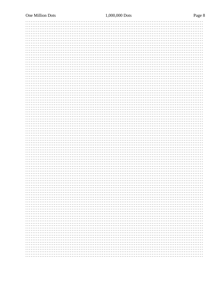| $\cdots$ |  |
|----------|--|
|          |  |
|          |  |
|          |  |
|          |  |
|          |  |
|          |  |
|          |  |
|          |  |
|          |  |
|          |  |
|          |  |
|          |  |
|          |  |
|          |  |
|          |  |
|          |  |
|          |  |
|          |  |
|          |  |
|          |  |
|          |  |
|          |  |
|          |  |
|          |  |
|          |  |
|          |  |
|          |  |
|          |  |
|          |  |
|          |  |
|          |  |
|          |  |
|          |  |
|          |  |
|          |  |
|          |  |
|          |  |
|          |  |
|          |  |
|          |  |
|          |  |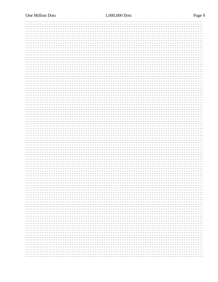| $\cdots$ |  |
|----------|--|
| .        |  |
|          |  |
|          |  |
|          |  |
|          |  |
|          |  |
|          |  |
|          |  |
|          |  |
|          |  |
|          |  |
|          |  |
|          |  |
|          |  |
|          |  |
|          |  |
|          |  |
|          |  |
|          |  |
|          |  |
|          |  |
|          |  |
|          |  |
|          |  |
|          |  |
|          |  |
|          |  |
|          |  |
|          |  |
|          |  |
|          |  |
|          |  |
|          |  |
|          |  |
|          |  |
|          |  |
|          |  |
|          |  |
|          |  |
|          |  |
|          |  |
|          |  |
|          |  |
|          |  |
|          |  |
|          |  |
|          |  |
|          |  |
|          |  |
|          |  |
|          |  |
|          |  |
|          |  |
|          |  |
|          |  |
|          |  |
|          |  |
|          |  |
|          |  |
|          |  |
| $\cdots$ |  |
|          |  |
|          |  |
|          |  |
|          |  |
|          |  |
|          |  |
|          |  |
|          |  |
|          |  |
|          |  |
|          |  |
|          |  |
|          |  |
|          |  |
|          |  |
|          |  |
|          |  |
|          |  |
|          |  |
|          |  |
|          |  |
|          |  |
|          |  |
|          |  |
|          |  |
|          |  |
|          |  |
|          |  |
|          |  |
|          |  |
|          |  |
|          |  |
|          |  |
|          |  |
|          |  |
|          |  |
|          |  |
|          |  |
|          |  |
|          |  |
|          |  |
|          |  |
|          |  |
|          |  |
|          |  |
|          |  |
|          |  |
|          |  |
|          |  |